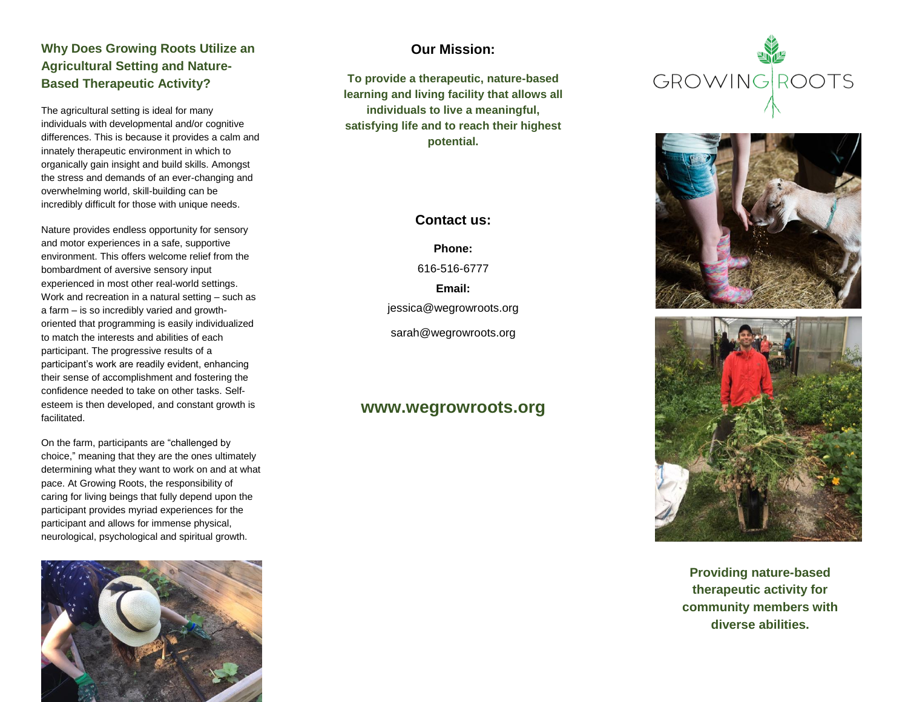### **Why Does Growing Roots Utilize an Agricultural Setting and Nature-Based Therapeutic Activity?**

The agricultural setting is ideal for many individuals with developmental and/or cognitive differences. This is because it provides a calm and innately therapeutic environment in which to organically gain insight and build skills. Amongst the stress and demands of an ever-changing and overwhelming world, skill-building can be incredibly difficult for those with unique needs.

Nature provides endless opportunity for sensory and motor experiences in a safe, supportive environment. This offers welcome relief from the bombardment of aversive sensory input experienced in most other real-world settings. Work and recreation in a natural setting – such as a farm – is so incredibly varied and growthoriented that programming is easily individualized to match the interests and abilities of each participant. The progressive results of a participant's work are readily evident, enhancing their sense of accomplishment and fostering the confidence needed to take on other tasks. Selfesteem is then developed, and constant growth is facilitated.

On the farm, participants are "challenged by choice," meaning that they are the ones ultimately determining what they want to work on and at what pace. At Growing Roots, the responsibility of caring for living beings that fully depend upon the participant provides myriad experiences for the participant and allows for immense physical, neurological, psychological and spiritual growth.



#### **Our Mission:**

**To provide a therapeutic, nature-based learning and living facility that allows all individuals to live a meaningful, satisfying life and to reach their highest potential.**

#### **Contact us:**

**Phone:** 616-516-6777 **Email:** jessica@wegrowroots.org sarah@wegrowroots.org

## **www.wegrowroots.org**







**Providing nature-based therapeutic activity for community members with diverse abilities.**